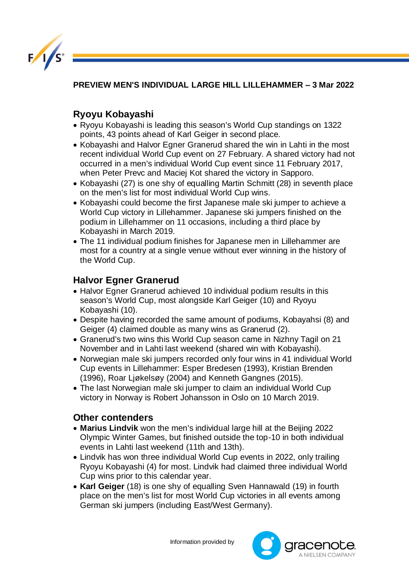

**PREVIEW MEN'S INDIVIDUAL LARGE HILL LILLEHAMMER – 3 Mar 2022** 

## **Ryoyu Kobayashi**

- Ryoyu Kobayashi is leading this season's World Cup standings on 1322 points, 43 points ahead of Karl Geiger in second place.
- Kobayashi and Halvor Egner Granerud shared the win in Lahti in the most recent individual World Cup event on 27 February. A shared victory had not occurred in a men's individual World Cup event since 11 February 2017, when Peter Prevc and Maciej Kot shared the victory in Sapporo.
- Kobayashi (27) is one shy of equalling Martin Schmitt (28) in seventh place on the men's list for most individual World Cup wins.
- Kobayashi could become the first Japanese male ski jumper to achieve a World Cup victory in Lillehammer. Japanese ski jumpers finished on the podium in Lillehammer on 11 occasions, including a third place by Kobayashi in March 2019.
- The 11 individual podium finishes for Japanese men in Lillehammer are most for a country at a single venue without ever winning in the history of the World Cup.

## **Halvor Egner Granerud**

- Halvor Egner Granerud achieved 10 individual podium results in this season's World Cup, most alongside Karl Geiger (10) and Ryoyu Kobayashi (10).
- Despite having recorded the same amount of podiums, Kobayahsi (8) and Geiger (4) claimed double as many wins as Granerud (2).
- Granerud's two wins this World Cup season came in Nizhny Tagil on 21 November and in Lahti last weekend (shared win with Kobayashi).
- Norwegian male ski jumpers recorded only four wins in 41 individual World Cup events in Lillehammer: Esper Bredesen (1993), Kristian Brenden (1996), Roar Ljøkelsøy (2004) and Kenneth Gangnes (2015).
- The last Norwegian male ski jumper to claim an individual World Cup victory in Norway is Robert Johansson in Oslo on 10 March 2019.

## **Other contenders**

- **Marius Lindvik** won the men's individual large hill at the Beijing 2022 Olympic Winter Games, but finished outside the top-10 in both individual events in Lahti last weekend (11th and 13th).
- Lindvik has won three individual World Cup events in 2022, only trailing Ryoyu Kobayashi (4) for most. Lindvik had claimed three individual World Cup wins prior to this calendar year.
- **Karl Geiger** (18) is one shy of equalling Sven Hannawald (19) in fourth place on the men's list for most World Cup victories in all events among German ski jumpers (including East/West Germany).

Information provided by